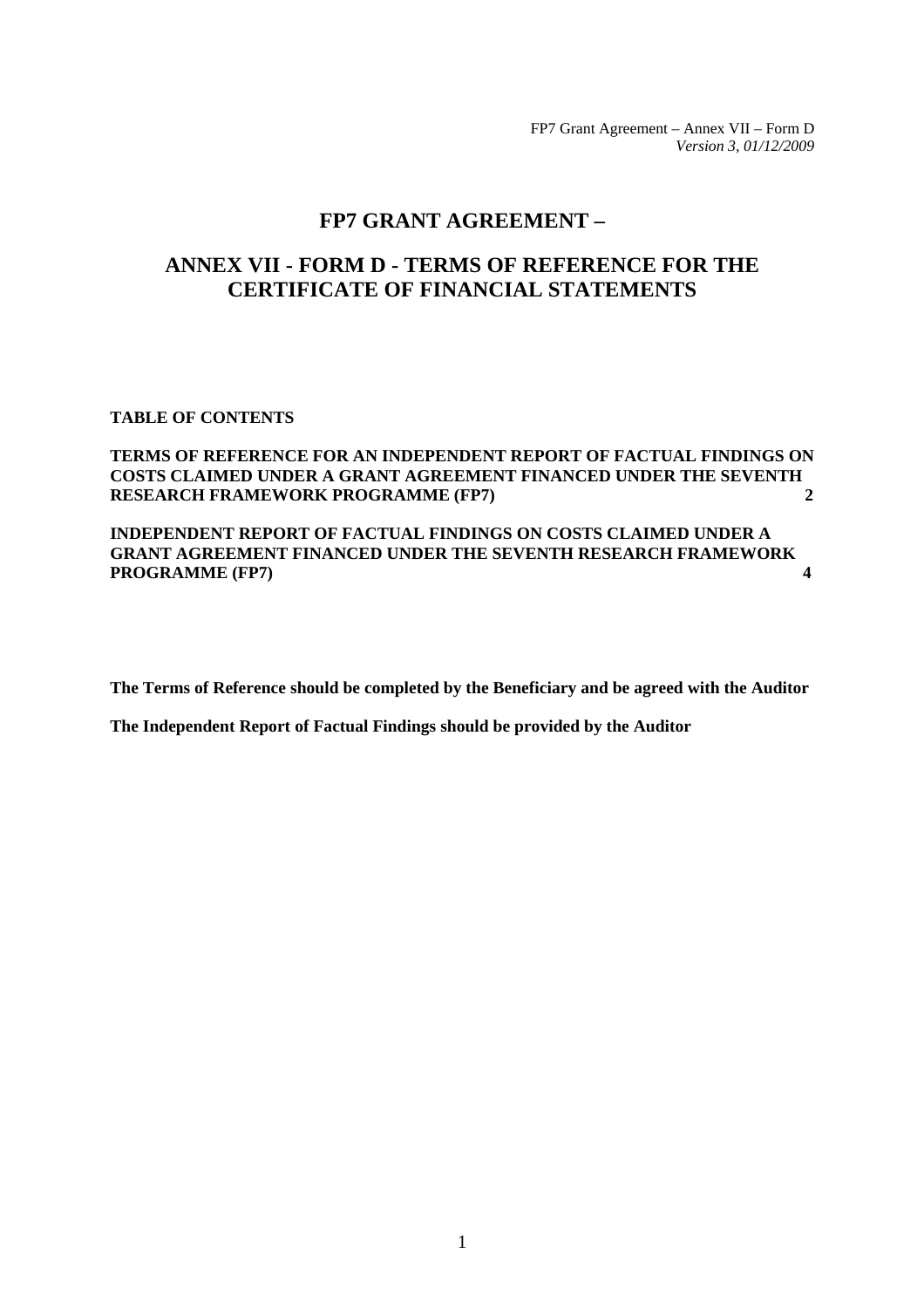FP7 Grant Agreement – Annex VII – Form D *Version 3, 01/12/2009* 

# **FP7 GRANT AGREEMENT –**

# **ANNEX VII - FORM D - TERMS OF REFERENCE FOR THE CERTIFICATE OF FINANCIAL STATEMENTS**

### **TABLE OF CONTENTS**

### **[TERMS OF REFERENCE FOR AN INDEPENDENT REPORT OF FACTUAL FINDINGS ON](#page-1-0)  [COSTS CLAIMED UNDER A GRANT AGREEMENT FINANCED UNDER THE SEVENTH](#page-1-0)  [RESEARCH FRAMEWORK PROGRAMME \(FP7\) 2](#page-1-0)**

**[INDEPENDENT REPORT OF FACTUAL FINDINGS ON COSTS CLAIMED UNDER A](#page-3-0)  [GRANT AGREEMENT FINANCED UNDER THE SEVENTH RESEARCH FRAMEWORK](#page-3-0)  [PROGRAMME \(FP7\) 4](#page-3-0)** 

**The Terms of Reference should be completed by the Beneficiary and be agreed with the Auditor** 

**The Independent Report of Factual Findings should be provided by the Auditor**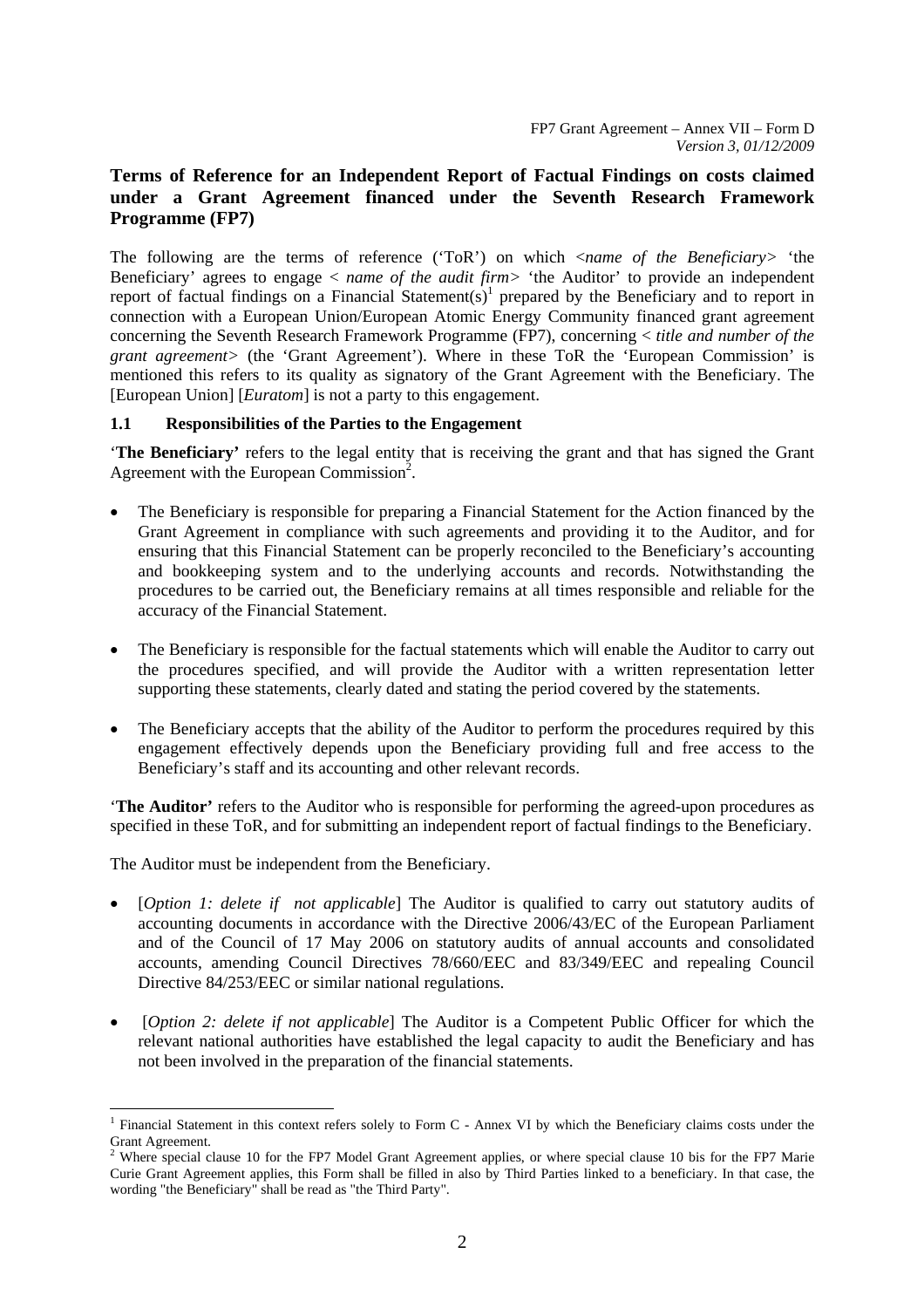# <span id="page-1-0"></span>**Terms of Reference for an Independent Report of Factual Findings on costs claimed under a Grant Agreement financed under the Seventh Research Framework Programme (FP7)**

The following are the terms of reference ('ToR') on which <*name of the Beneficiary>* 'the Beneficiary' agrees to engage < *name of the audit firm>* 'the Auditor' to provide an independent report of factual findings on a Financial Statement(s)<sup>1</sup> prepared by the Beneficiary and to report in connection with a European Union/European Atomic Energy Community financed grant agreement concerning the Seventh Research Framework Programme (FP7), concerning < *title and number of the grant agreement>* (the 'Grant Agreement'). Where in these ToR the 'European Commission' is mentioned this refers to its quality as signatory of the Grant Agreement with the Beneficiary. The [European Union] [*Euratom*] is not a party to this engagement.

### **1.1 Responsibilities of the Parties to the Engagement**

'**The Beneficiary'** refers to the legal entity that is receiving the grant and that has signed the Grant Agreement with the European Commission<sup>2</sup>.

- The Beneficiary is responsible for preparing a Financial Statement for the Action financed by the Grant Agreement in compliance with such agreements and providing it to the Auditor, and for ensuring that this Financial Statement can be properly reconciled to the Beneficiary's accounting and bookkeeping system and to the underlying accounts and records. Notwithstanding the procedures to be carried out, the Beneficiary remains at all times responsible and reliable for the accuracy of the Financial Statement.
- The Beneficiary is responsible for the factual statements which will enable the Auditor to carry out the procedures specified, and will provide the Auditor with a written representation letter supporting these statements, clearly dated and stating the period covered by the statements.
- The Beneficiary accepts that the ability of the Auditor to perform the procedures required by this engagement effectively depends upon the Beneficiary providing full and free access to the Beneficiary's staff and its accounting and other relevant records.

'**The Auditor'** refers to the Auditor who is responsible for performing the agreed-upon procedures as specified in these ToR, and for submitting an independent report of factual findings to the Beneficiary.

The Auditor must be independent from the Beneficiary.

 $\overline{a}$ 

- [*Option 1: delete if not applicable*] The Auditor is qualified to carry out statutory audits of accounting documents in accordance with the Directive 2006/43/EC of the European Parliament and of the Council of 17 May 2006 on statutory audits of annual accounts and consolidated accounts, amending Council Directives 78/660/EEC and 83/349/EEC and repealing Council Directive 84/253/EEC or similar national regulations.
- [*Option 2: delete if not applicable*] The Auditor is a Competent Public Officer for which the relevant national authorities have established the legal capacity to audit the Beneficiary and has not been involved in the preparation of the financial statements.

<sup>&</sup>lt;sup>1</sup> Financial Statement in this context refers solely to Form C - Annex VI by which the Beneficiary claims costs under the Grant Agreement.<br><sup>2</sup> Where special clause 10 for the FP7 Model Grant Agreement applies, or where special clause 10 bis for the FP7 Marie

Curie Grant Agreement applies, this Form shall be filled in also by Third Parties linked to a beneficiary. In that case, the wording "the Beneficiary" shall be read as "the Third Party".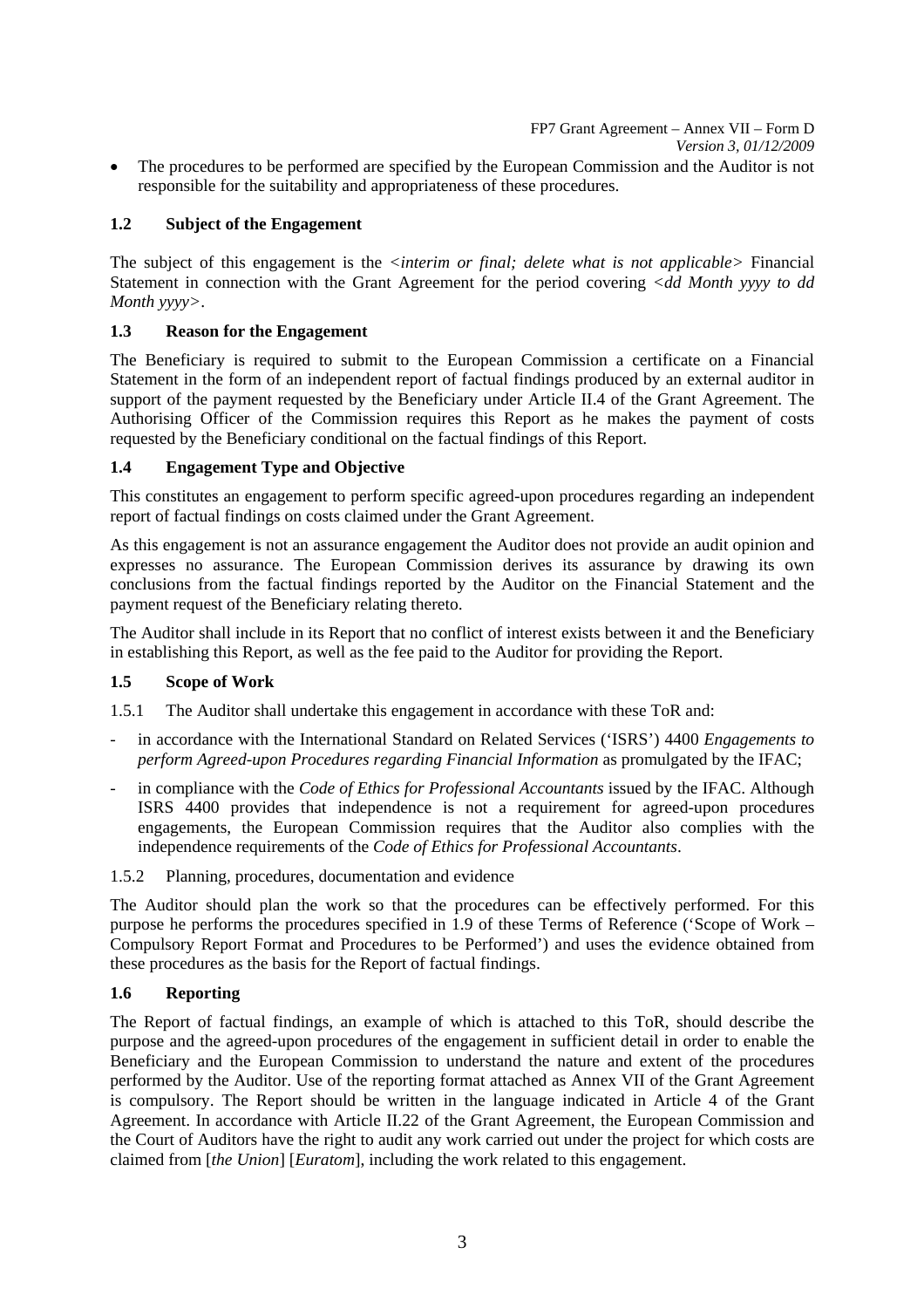FP7 Grant Agreement – Annex VII – Form D *Version 3, 01/12/2009* 

• The procedures to be performed are specified by the European Commission and the Auditor is not responsible for the suitability and appropriateness of these procedures.

# **1.2 Subject of the Engagement**

The subject of this engagement is the *<interim or final; delete what is not applicable>* Financial Statement in connection with the Grant Agreement for the period covering *<dd Month yyyy to dd Month yyyy>*.

# **1.3 Reason for the Engagement**

The Beneficiary is required to submit to the European Commission a certificate on a Financial Statement in the form of an independent report of factual findings produced by an external auditor in support of the payment requested by the Beneficiary under Article II.4 of the Grant Agreement. The Authorising Officer of the Commission requires this Report as he makes the payment of costs requested by the Beneficiary conditional on the factual findings of this Report.

### **1.4 Engagement Type and Objective**

This constitutes an engagement to perform specific agreed-upon procedures regarding an independent report of factual findings on costs claimed under the Grant Agreement.

As this engagement is not an assurance engagement the Auditor does not provide an audit opinion and expresses no assurance. The European Commission derives its assurance by drawing its own conclusions from the factual findings reported by the Auditor on the Financial Statement and the payment request of the Beneficiary relating thereto.

The Auditor shall include in its Report that no conflict of interest exists between it and the Beneficiary in establishing this Report, as well as the fee paid to the Auditor for providing the Report.

# **1.5 Scope of Work**

1.5.1 The Auditor shall undertake this engagement in accordance with these ToR and:

- in accordance with the International Standard on Related Services ('ISRS') 4400 *Engagements to perform Agreed-upon Procedures regarding Financial Information* as promulgated by the IFAC;
- in compliance with the *Code of Ethics for Professional Accountants* issued by the IFAC. Although ISRS 4400 provides that independence is not a requirement for agreed-upon procedures engagements, the European Commission requires that the Auditor also complies with the independence requirements of the *Code of Ethics for Professional Accountants*.
- 1.5.2 Planning, procedures, documentation and evidence

The Auditor should plan the work so that the procedures can be effectively performed. For this purpose he performs the procedures specified in 1.9 of these Terms of Reference ('Scope of Work – Compulsory Report Format and Procedures to be Performed') and uses the evidence obtained from these procedures as the basis for the Report of factual findings.

# **1.6 Reporting**

The Report of factual findings, an example of which is attached to this ToR, should describe the purpose and the agreed-upon procedures of the engagement in sufficient detail in order to enable the Beneficiary and the European Commission to understand the nature and extent of the procedures performed by the Auditor. Use of the reporting format attached as Annex VII of the Grant Agreement is compulsory. The Report should be written in the language indicated in Article 4 of the Grant Agreement. In accordance with Article II.22 of the Grant Agreement, the European Commission and the Court of Auditors have the right to audit any work carried out under the project for which costs are claimed from [*the Union*] [*Euratom*], including the work related to this engagement.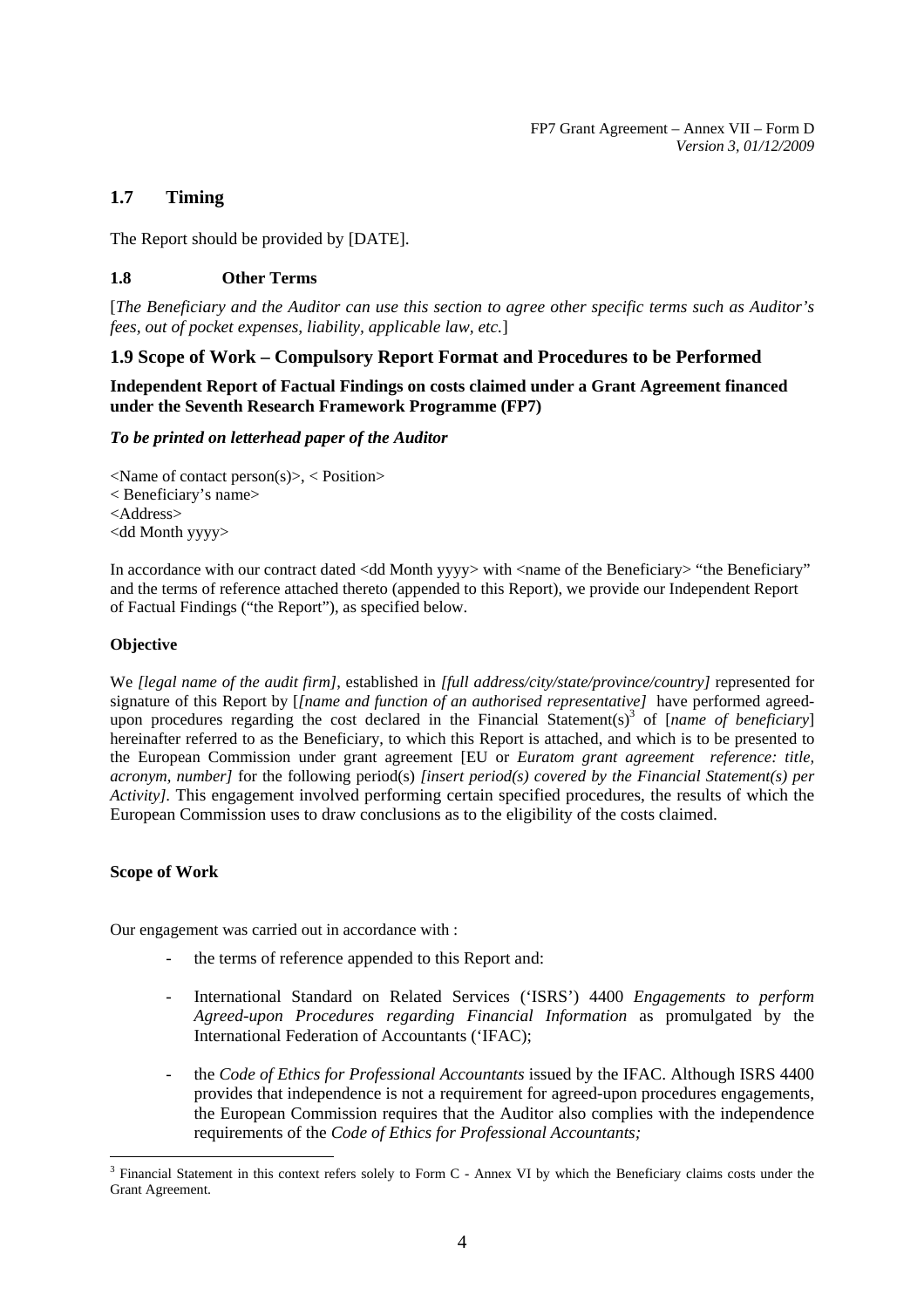# **1.7 Timing**

The Report should be provided by [DATE].

### **1.8 Other Terms**

[*The Beneficiary and the Auditor can use this section to agree other specific terms such as Auditor's fees, out of pocket expenses, liability, applicable law, etc.*]

# <span id="page-3-0"></span>**1.9 Scope of Work – Compulsory Report Format and Procedures to be Performed**

**Independent Report of Factual Findings on costs claimed under a Grant Agreement financed under the Seventh Research Framework Programme (FP7)** 

### *To be printed on letterhead paper of the Auditor*

 $\langle$ Name of contact person $(s)$  $\rangle$ ,  $\langle$  Position $\rangle$ < Beneficiary's name> <Address> <dd Month yyyy>

In accordance with our contract dated <dd Month yyyy> with <name of the Beneficiary> "the Beneficiary" and the terms of reference attached thereto (appended to this Report), we provide our Independent Report of Factual Findings ("the Report"), as specified below.

### **Objective**

We *[legal name of the audit firm]*, established in *[full address/city/state/province/country]* represented for signature of this Report by [*[name and function of an authorised representative]* have performed agreedupon procedures regarding the cost declared in the Financial Statement(s)<sup>3</sup> of [*name of beneficiary*] hereinafter referred to as the Beneficiary, to which this Report is attached, and which is to be presented to the European Commission under grant agreement [EU or *Euratom grant agreement reference: title, acronym, number]* for the following period(s) *[insert period(s) covered by the Financial Statement(s) per Activity].* This engagement involved performing certain specified procedures, the results of which the European Commission uses to draw conclusions as to the eligibility of the costs claimed.

### **Scope of Work**

Our engagement was carried out in accordance with :

- the terms of reference appended to this Report and:
- International Standard on Related Services ('ISRS') 4400 *Engagements to perform Agreed-upon Procedures regarding Financial Information* as promulgated by the International Federation of Accountants ('IFAC);
- the *Code of Ethics for Professional Accountants* issued by the IFAC. Although ISRS 4400 provides that independence is not a requirement for agreed-upon procedures engagements, the European Commission requires that the Auditor also complies with the independence requirements of the *Code of Ethics for Professional Accountants;*

<sup>&</sup>lt;sup>3</sup> Financial Statement in this context refers solely to Form C - Annex VI by which the Beneficiary claims costs under the Grant Agreement.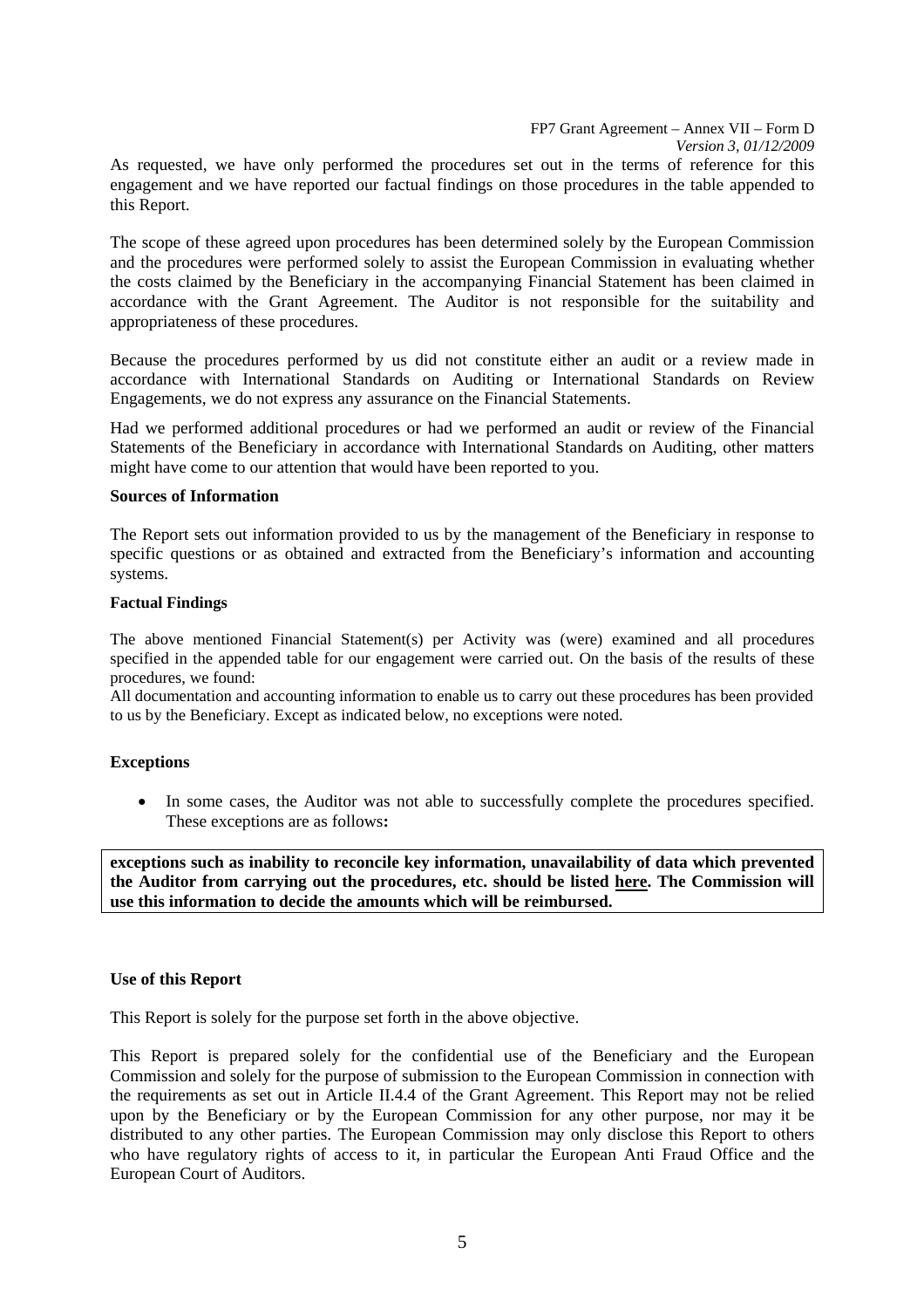FP7 Grant Agreement – Annex VII – Form D *Version 3, 01/12/2009*  As requested, we have only performed the procedures set out in the terms of reference for this engagement and we have reported our factual findings on those procedures in the table appended to this Report.

The scope of these agreed upon procedures has been determined solely by the European Commission and the procedures were performed solely to assist the European Commission in evaluating whether the costs claimed by the Beneficiary in the accompanying Financial Statement has been claimed in accordance with the Grant Agreement. The Auditor is not responsible for the suitability and appropriateness of these procedures.

Because the procedures performed by us did not constitute either an audit or a review made in accordance with International Standards on Auditing or International Standards on Review Engagements, we do not express any assurance on the Financial Statements.

Had we performed additional procedures or had we performed an audit or review of the Financial Statements of the Beneficiary in accordance with International Standards on Auditing, other matters might have come to our attention that would have been reported to you.

#### **Sources of Information**

The Report sets out information provided to us by the management of the Beneficiary in response to specific questions or as obtained and extracted from the Beneficiary's information and accounting systems.

#### **Factual Findings**

The above mentioned Financial Statement(s) per Activity was (were) examined and all procedures specified in the appended table for our engagement were carried out. On the basis of the results of these procedures, we found:

All documentation and accounting information to enable us to carry out these procedures has been provided to us by the Beneficiary. Except as indicated below, no exceptions were noted.

### **Exceptions**

• In some cases, the Auditor was not able to successfully complete the procedures specified. These exceptions are as follows**:** 

**exceptions such as inability to reconcile key information, unavailability of data which prevented the Auditor from carrying out the procedures, etc. should be listed here. The Commission will use this information to decide the amounts which will be reimbursed.** 

### **Use of this Report**

This Report is solely for the purpose set forth in the above objective.

This Report is prepared solely for the confidential use of the Beneficiary and the European Commission and solely for the purpose of submission to the European Commission in connection with the requirements as set out in Article II.4.4 of the Grant Agreement. This Report may not be relied upon by the Beneficiary or by the European Commission for any other purpose, nor may it be distributed to any other parties. The European Commission may only disclose this Report to others who have regulatory rights of access to it, in particular the European Anti Fraud Office and the European Court of Auditors.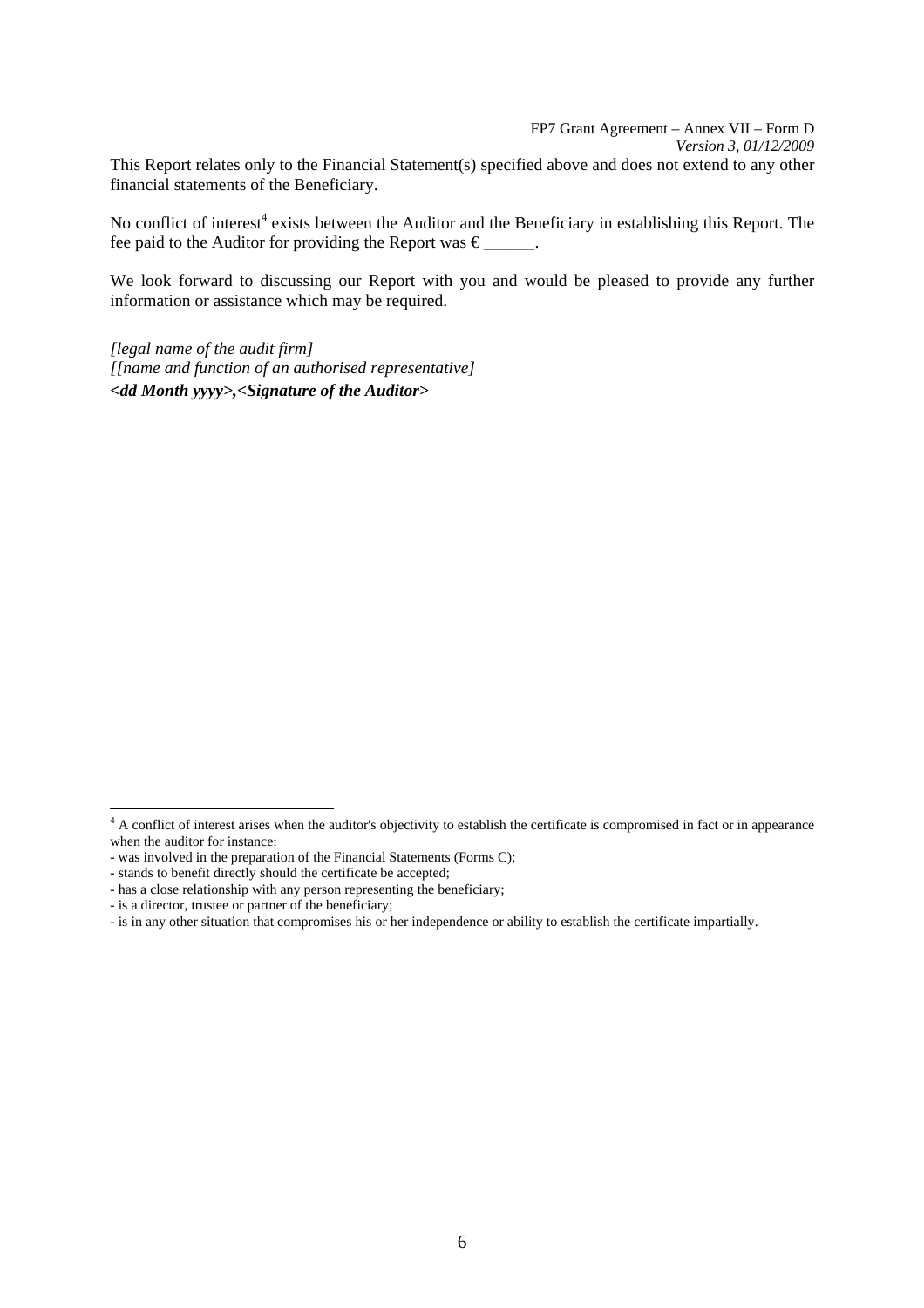FP7 Grant Agreement – Annex VII – Form D *Version 3, 01/12/2009*  This Report relates only to the Financial Statement(s) specified above and does not extend to any other financial statements of the Beneficiary.

No conflict of interest<sup>4</sup> exists between the Auditor and the Beneficiary in establishing this Report. The fee paid to the Auditor for providing the Report was  $\epsilon$  .

We look forward to discussing our Report with you and would be pleased to provide any further information or assistance which may be required.

*[legal name of the audit firm] [[name and function of an authorised representative] <dd Month yyyy>,<Signature of the Auditor>* 

<sup>&</sup>lt;sup>4</sup> A conflict of interest arises when the auditor's objectivity to establish the certificate is compromised in fact or in appearance when the auditor for instance:

<sup>-</sup> was involved in the preparation of the Financial Statements (Forms C);

<sup>-</sup> stands to benefit directly should the certificate be accepted;

<sup>-</sup> has a close relationship with any person representing the beneficiary;

<sup>-</sup> is a director, trustee or partner of the beneficiary;

<sup>-</sup> is in any other situation that compromises his or her independence or ability to establish the certificate impartially.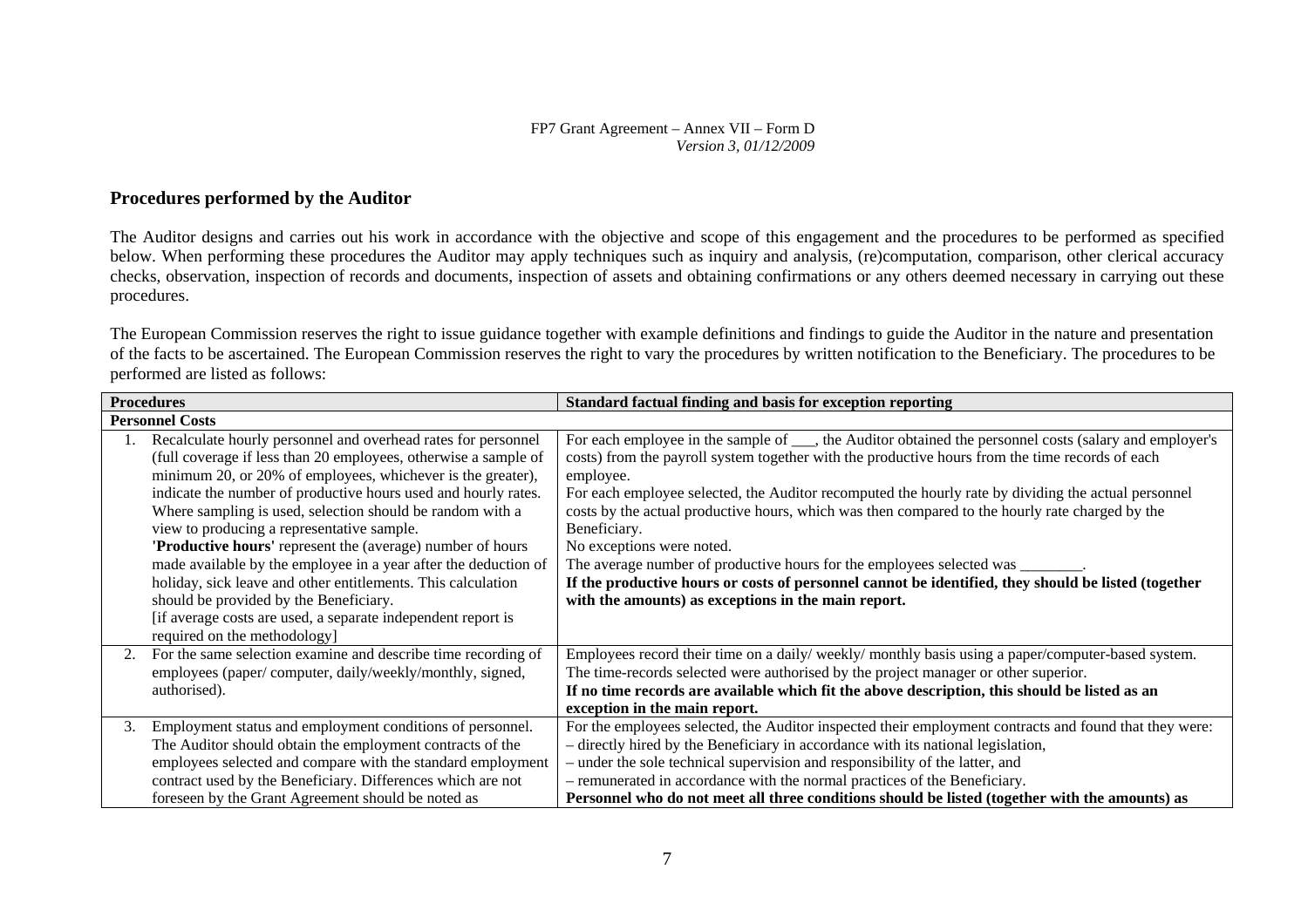### **Procedures performed by the Auditor**

The Auditor designs and carries out his work in accordance with the objective and scope of this engagement and the procedures to be performed as specified below. When performing these procedures the Auditor may apply techniques such as inquiry and analysis, (re)computation, comparison, other clerical accuracy checks, observation, inspection of records and documents, inspection of assets and obtaining confirmations or any others deemed necessary in carrying out these procedures.

The European Commission reserves the right to issue guidance together with example definitions and findings to guide the Auditor in the nature and presentation of the facts to be ascertained. The European Commission reserves the right to vary the procedures by written notification to the Beneficiary. The procedures to be performed are listed as follows:

| <b>Procedures</b> |                                                                                                                                                                                                                                                                                                                                                                                                                                                                                                                                                                                                                                                                                         | Standard factual finding and basis for exception reporting                                                                                                                                                                                                                                                                                                                                                                                                                                                                                                                                                                                                                                                                   |
|-------------------|-----------------------------------------------------------------------------------------------------------------------------------------------------------------------------------------------------------------------------------------------------------------------------------------------------------------------------------------------------------------------------------------------------------------------------------------------------------------------------------------------------------------------------------------------------------------------------------------------------------------------------------------------------------------------------------------|------------------------------------------------------------------------------------------------------------------------------------------------------------------------------------------------------------------------------------------------------------------------------------------------------------------------------------------------------------------------------------------------------------------------------------------------------------------------------------------------------------------------------------------------------------------------------------------------------------------------------------------------------------------------------------------------------------------------------|
|                   | <b>Personnel Costs</b>                                                                                                                                                                                                                                                                                                                                                                                                                                                                                                                                                                                                                                                                  |                                                                                                                                                                                                                                                                                                                                                                                                                                                                                                                                                                                                                                                                                                                              |
|                   | Recalculate hourly personnel and overhead rates for personnel<br>(full coverage if less than 20 employees, otherwise a sample of<br>minimum 20, or 20% of employees, whichever is the greater),<br>indicate the number of productive hours used and hourly rates.<br>Where sampling is used, selection should be random with a<br>view to producing a representative sample.<br>'Productive hours' represent the (average) number of hours<br>made available by the employee in a year after the deduction of<br>holiday, sick leave and other entitlements. This calculation<br>should be provided by the Beneficiary.<br>[if average costs are used, a separate independent report is | For each employee in the sample of ___, the Auditor obtained the personnel costs (salary and employer's<br>costs) from the payroll system together with the productive hours from the time records of each<br>employee.<br>For each employee selected, the Auditor recomputed the hourly rate by dividing the actual personnel<br>costs by the actual productive hours, which was then compared to the hourly rate charged by the<br>Beneficiary.<br>No exceptions were noted.<br>The average number of productive hours for the employees selected was ______<br>If the productive hours or costs of personnel cannot be identified, they should be listed (together<br>with the amounts) as exceptions in the main report. |
| 2.                | required on the methodology]<br>For the same selection examine and describe time recording of<br>employees (paper/computer, daily/weekly/monthly, signed,<br>authorised).                                                                                                                                                                                                                                                                                                                                                                                                                                                                                                               | Employees record their time on a daily/weekly/monthly basis using a paper/computer-based system.<br>The time-records selected were authorised by the project manager or other superior.<br>If no time records are available which fit the above description, this should be listed as an<br>exception in the main report.                                                                                                                                                                                                                                                                                                                                                                                                    |
| 3.                | Employment status and employment conditions of personnel.<br>The Auditor should obtain the employment contracts of the<br>employees selected and compare with the standard employment<br>contract used by the Beneficiary. Differences which are not<br>foreseen by the Grant Agreement should be noted as                                                                                                                                                                                                                                                                                                                                                                              | For the employees selected, the Auditor inspected their employment contracts and found that they were:<br>- directly hired by the Beneficiary in accordance with its national legislation,<br>- under the sole technical supervision and responsibility of the latter, and<br>- remunerated in accordance with the normal practices of the Beneficiary.<br>Personnel who do not meet all three conditions should be listed (together with the amounts) as                                                                                                                                                                                                                                                                    |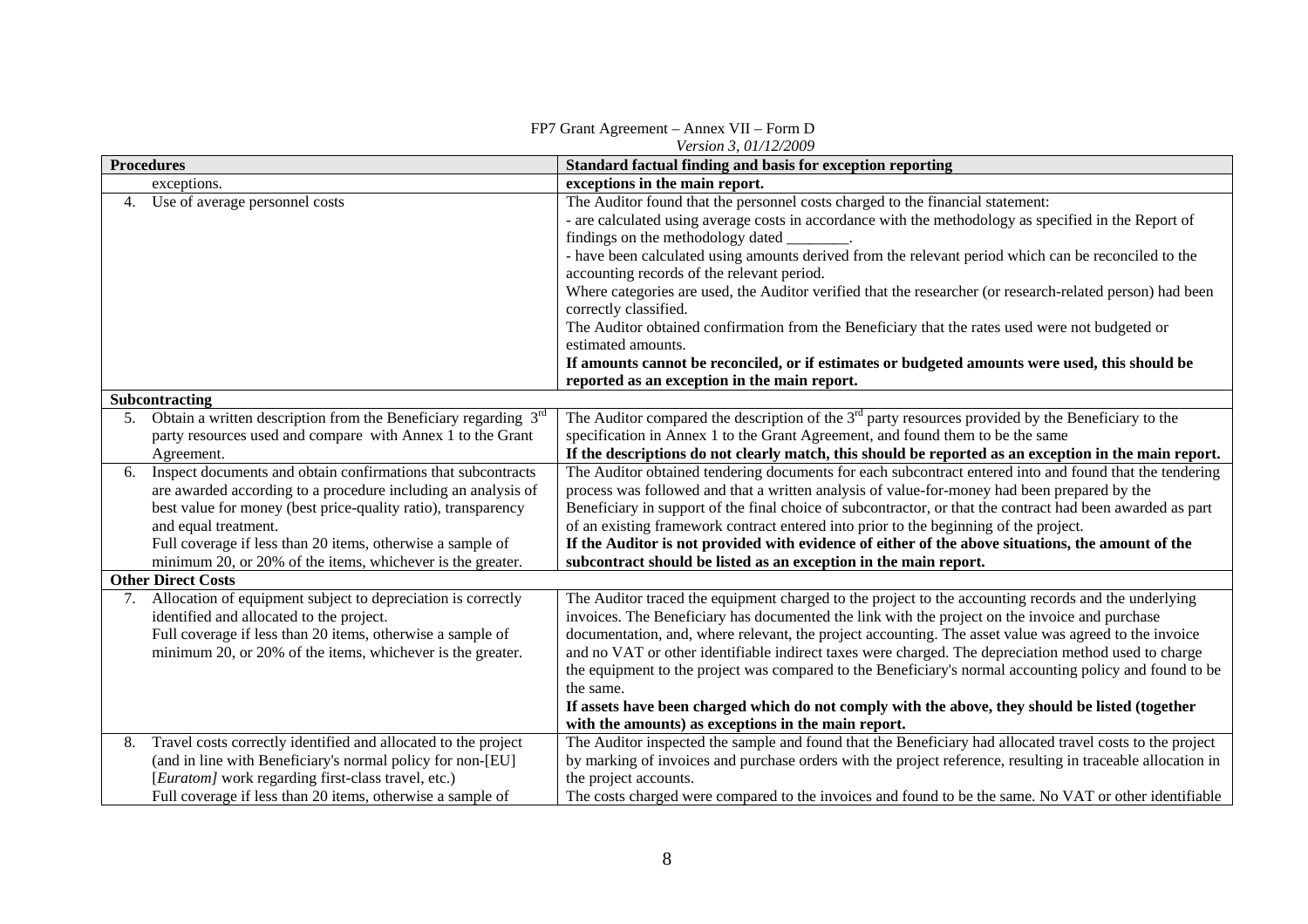| Version 3, 01/12/2009 |                                                                                                        |                                                                                                                                                                                                         |  |  |
|-----------------------|--------------------------------------------------------------------------------------------------------|---------------------------------------------------------------------------------------------------------------------------------------------------------------------------------------------------------|--|--|
| <b>Procedures</b>     |                                                                                                        | Standard factual finding and basis for exception reporting                                                                                                                                              |  |  |
|                       | exceptions.                                                                                            | exceptions in the main report.                                                                                                                                                                          |  |  |
|                       | Use of average personnel costs                                                                         | The Auditor found that the personnel costs charged to the financial statement:                                                                                                                          |  |  |
|                       |                                                                                                        | - are calculated using average costs in accordance with the methodology as specified in the Report of<br>findings on the methodology dated                                                              |  |  |
|                       |                                                                                                        | - have been calculated using amounts derived from the relevant period which can be reconciled to the                                                                                                    |  |  |
|                       |                                                                                                        | accounting records of the relevant period.                                                                                                                                                              |  |  |
|                       |                                                                                                        | Where categories are used, the Auditor verified that the researcher (or research-related person) had been<br>correctly classified.                                                                      |  |  |
|                       |                                                                                                        | The Auditor obtained confirmation from the Beneficiary that the rates used were not budgeted or                                                                                                         |  |  |
|                       |                                                                                                        | estimated amounts.                                                                                                                                                                                      |  |  |
|                       |                                                                                                        | If amounts cannot be reconciled, or if estimates or budgeted amounts were used, this should be                                                                                                          |  |  |
|                       |                                                                                                        | reported as an exception in the main report.                                                                                                                                                            |  |  |
|                       | Subcontracting                                                                                         |                                                                                                                                                                                                         |  |  |
| 5.                    | Obtain a written description from the Beneficiary regarding $3rd$                                      | The Auditor compared the description of the $3rd$ party resources provided by the Beneficiary to the                                                                                                    |  |  |
|                       | party resources used and compare with Annex 1 to the Grant                                             | specification in Annex 1 to the Grant Agreement, and found them to be the same                                                                                                                          |  |  |
|                       | Agreement.                                                                                             | If the descriptions do not clearly match, this should be reported as an exception in the main report.                                                                                                   |  |  |
| 6.                    | Inspect documents and obtain confirmations that subcontracts                                           | The Auditor obtained tendering documents for each subcontract entered into and found that the tendering                                                                                                 |  |  |
|                       | are awarded according to a procedure including an analysis of                                          | process was followed and that a written analysis of value-for-money had been prepared by the                                                                                                            |  |  |
|                       | best value for money (best price-quality ratio), transparency                                          | Beneficiary in support of the final choice of subcontractor, or that the contract had been awarded as part                                                                                              |  |  |
|                       | and equal treatment.                                                                                   | of an existing framework contract entered into prior to the beginning of the project.                                                                                                                   |  |  |
|                       | Full coverage if less than 20 items, otherwise a sample of                                             | If the Auditor is not provided with evidence of either of the above situations, the amount of the                                                                                                       |  |  |
|                       | minimum 20, or 20% of the items, whichever is the greater.                                             | subcontract should be listed as an exception in the main report.                                                                                                                                        |  |  |
|                       | <b>Other Direct Costs</b>                                                                              |                                                                                                                                                                                                         |  |  |
|                       | 7. Allocation of equipment subject to depreciation is correctly                                        | The Auditor traced the equipment charged to the project to the accounting records and the underlying                                                                                                    |  |  |
|                       | identified and allocated to the project.<br>Full coverage if less than 20 items, otherwise a sample of | invoices. The Beneficiary has documented the link with the project on the invoice and purchase<br>documentation, and, where relevant, the project accounting. The asset value was agreed to the invoice |  |  |
|                       | minimum 20, or 20% of the items, whichever is the greater.                                             | and no VAT or other identifiable indirect taxes were charged. The depreciation method used to charge                                                                                                    |  |  |
|                       |                                                                                                        | the equipment to the project was compared to the Beneficiary's normal accounting policy and found to be                                                                                                 |  |  |
|                       |                                                                                                        | the same.                                                                                                                                                                                               |  |  |
|                       |                                                                                                        | If assets have been charged which do not comply with the above, they should be listed (together                                                                                                         |  |  |
|                       |                                                                                                        | with the amounts) as exceptions in the main report.                                                                                                                                                     |  |  |
| 8.                    | Travel costs correctly identified and allocated to the project                                         | The Auditor inspected the sample and found that the Beneficiary had allocated travel costs to the project                                                                                               |  |  |
|                       | (and in line with Beneficiary's normal policy for non-[EU]                                             | by marking of invoices and purchase orders with the project reference, resulting in traceable allocation in                                                                                             |  |  |
|                       | [Euratom] work regarding first-class travel, etc.)                                                     | the project accounts.                                                                                                                                                                                   |  |  |
|                       | Full coverage if less than 20 items, otherwise a sample of                                             | The costs charged were compared to the invoices and found to be the same. No VAT or other identifiable                                                                                                  |  |  |

### FP7 Grant Agreement – Annex VII – Form D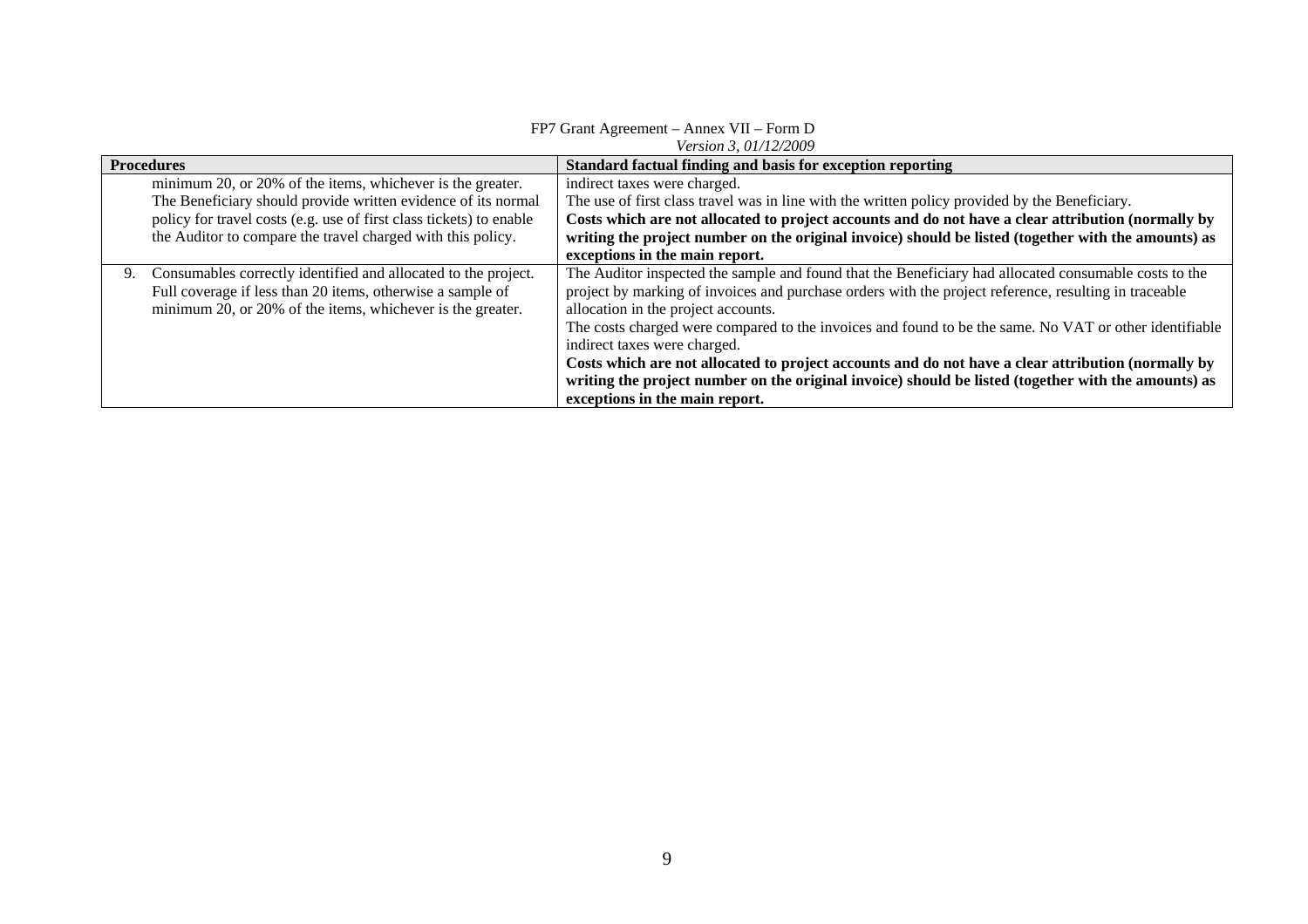#### FP7 Grant Agreement – Annex VII – Form D

*Version 3, 01/12/2009* 

| <b>Procedures</b>                                                    | Standard factual finding and basis for exception reporting                                             |
|----------------------------------------------------------------------|--------------------------------------------------------------------------------------------------------|
| minimum 20, or 20% of the items, whichever is the greater.           | indirect taxes were charged.                                                                           |
| The Beneficiary should provide written evidence of its normal        | The use of first class travel was in line with the written policy provided by the Beneficiary.         |
| policy for travel costs (e.g. use of first class tickets) to enable  | Costs which are not allocated to project accounts and do not have a clear attribution (normally by     |
| the Auditor to compare the travel charged with this policy.          | writing the project number on the original invoice) should be listed (together with the amounts) as    |
|                                                                      | exceptions in the main report.                                                                         |
| Consumables correctly identified and allocated to the project.<br>9. | The Auditor inspected the sample and found that the Beneficiary had allocated consumable costs to the  |
| Full coverage if less than 20 items, otherwise a sample of           | project by marking of invoices and purchase orders with the project reference, resulting in traceable  |
| minimum 20, or 20% of the items, whichever is the greater.           | allocation in the project accounts.                                                                    |
|                                                                      | The costs charged were compared to the invoices and found to be the same. No VAT or other identifiable |
|                                                                      | indirect taxes were charged.                                                                           |
|                                                                      | Costs which are not allocated to project accounts and do not have a clear attribution (normally by     |
|                                                                      | writing the project number on the original invoice) should be listed (together with the amounts) as    |
|                                                                      | exceptions in the main report.                                                                         |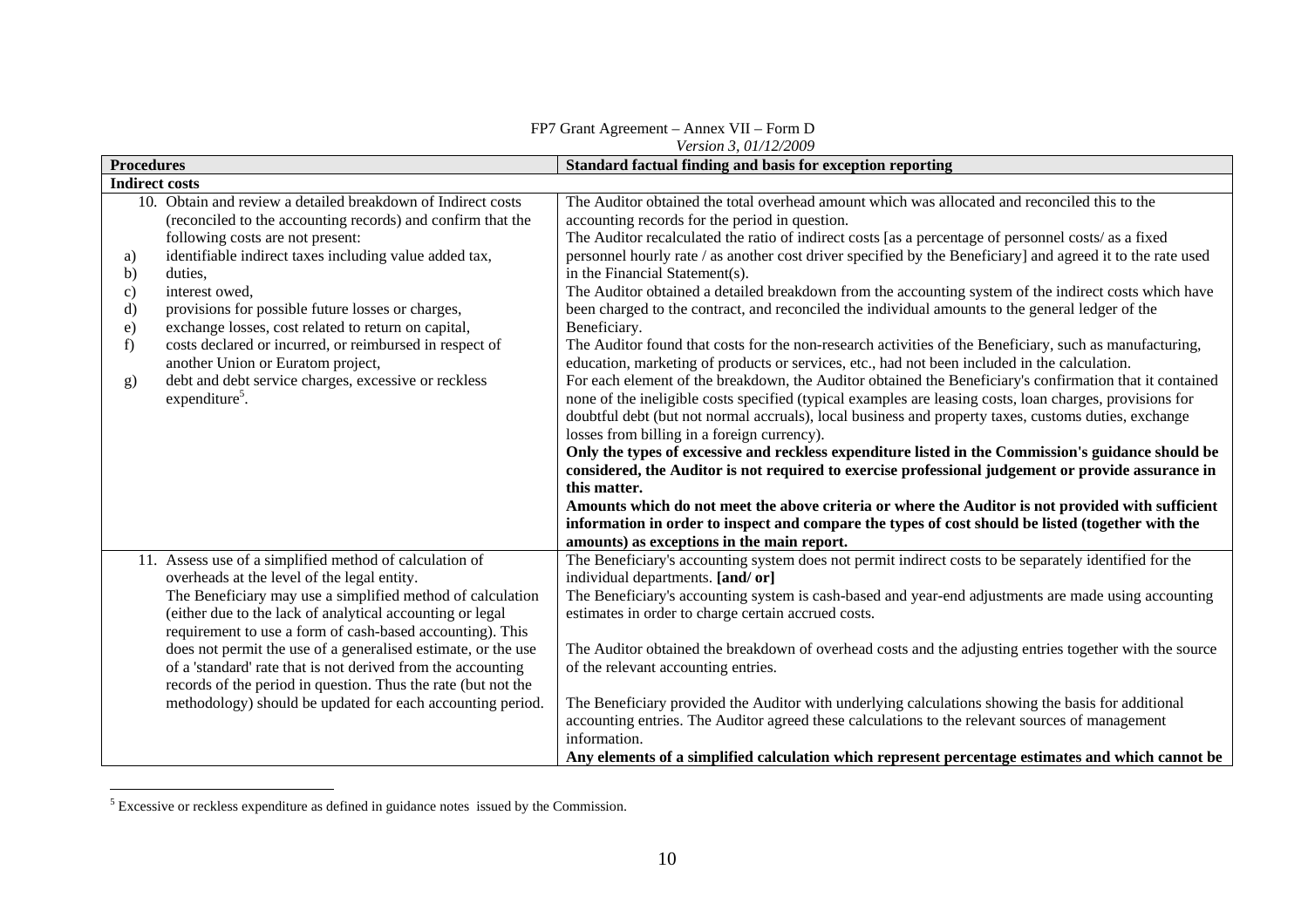|                                                                                                                                                                                                                                                                                                                                                                                                                                                                                                                                                                                                                         | <i>Version 3.01/12/2009</i>                                                                                                                                                                                                                                                                                                                                                                                                                                                                                                                                                                                                                                                                                                                                                                                                                                                                                                                                                                                                                                                                                                                                                                                                                                                                                                                                                                                                                                                                                                                                                                                                                                                                                          |  |  |  |
|-------------------------------------------------------------------------------------------------------------------------------------------------------------------------------------------------------------------------------------------------------------------------------------------------------------------------------------------------------------------------------------------------------------------------------------------------------------------------------------------------------------------------------------------------------------------------------------------------------------------------|----------------------------------------------------------------------------------------------------------------------------------------------------------------------------------------------------------------------------------------------------------------------------------------------------------------------------------------------------------------------------------------------------------------------------------------------------------------------------------------------------------------------------------------------------------------------------------------------------------------------------------------------------------------------------------------------------------------------------------------------------------------------------------------------------------------------------------------------------------------------------------------------------------------------------------------------------------------------------------------------------------------------------------------------------------------------------------------------------------------------------------------------------------------------------------------------------------------------------------------------------------------------------------------------------------------------------------------------------------------------------------------------------------------------------------------------------------------------------------------------------------------------------------------------------------------------------------------------------------------------------------------------------------------------------------------------------------------------|--|--|--|
| <b>Procedures</b>                                                                                                                                                                                                                                                                                                                                                                                                                                                                                                                                                                                                       | Standard factual finding and basis for exception reporting                                                                                                                                                                                                                                                                                                                                                                                                                                                                                                                                                                                                                                                                                                                                                                                                                                                                                                                                                                                                                                                                                                                                                                                                                                                                                                                                                                                                                                                                                                                                                                                                                                                           |  |  |  |
| <b>Indirect costs</b>                                                                                                                                                                                                                                                                                                                                                                                                                                                                                                                                                                                                   |                                                                                                                                                                                                                                                                                                                                                                                                                                                                                                                                                                                                                                                                                                                                                                                                                                                                                                                                                                                                                                                                                                                                                                                                                                                                                                                                                                                                                                                                                                                                                                                                                                                                                                                      |  |  |  |
| 10. Obtain and review a detailed breakdown of Indirect costs<br>(reconciled to the accounting records) and confirm that the<br>following costs are not present:<br>identifiable indirect taxes including value added tax,<br>a)<br>b)<br>duties,<br>interest owed,<br>$\mathbf{c})$<br>d)<br>provisions for possible future losses or charges,<br>exchange losses, cost related to return on capital,<br>$\epsilon$ )<br>costs declared or incurred, or reimbursed in respect of<br>f)<br>another Union or Euratom project,<br>debt and debt service charges, excessive or reckless<br>g)<br>expenditure <sup>5</sup> . | The Auditor obtained the total overhead amount which was allocated and reconciled this to the<br>accounting records for the period in question.<br>The Auditor recalculated the ratio of indirect costs [as a percentage of personnel costs/ as a fixed<br>personnel hourly rate / as another cost driver specified by the Beneficiary] and agreed it to the rate used<br>in the Financial Statement(s).<br>The Auditor obtained a detailed breakdown from the accounting system of the indirect costs which have<br>been charged to the contract, and reconciled the individual amounts to the general ledger of the<br>Beneficiary.<br>The Auditor found that costs for the non-research activities of the Beneficiary, such as manufacturing,<br>education, marketing of products or services, etc., had not been included in the calculation.<br>For each element of the breakdown, the Auditor obtained the Beneficiary's confirmation that it contained<br>none of the ineligible costs specified (typical examples are leasing costs, loan charges, provisions for<br>doubtful debt (but not normal accruals), local business and property taxes, customs duties, exchange<br>losses from billing in a foreign currency).<br>Only the types of excessive and reckless expenditure listed in the Commission's guidance should be<br>considered, the Auditor is not required to exercise professional judgement or provide assurance in<br>this matter.<br>Amounts which do not meet the above criteria or where the Auditor is not provided with sufficient<br>information in order to inspect and compare the types of cost should be listed (together with the<br>amounts) as exceptions in the main report. |  |  |  |
| 11. Assess use of a simplified method of calculation of<br>overheads at the level of the legal entity.<br>The Beneficiary may use a simplified method of calculation<br>(either due to the lack of analytical accounting or legal<br>requirement to use a form of cash-based accounting). This<br>does not permit the use of a generalised estimate, or the use<br>of a 'standard' rate that is not derived from the accounting<br>records of the period in question. Thus the rate (but not the<br>methodology) should be updated for each accounting period.                                                          | The Beneficiary's accounting system does not permit indirect costs to be separately identified for the<br>individual departments. [and/ or]<br>The Beneficiary's accounting system is cash-based and year-end adjustments are made using accounting<br>estimates in order to charge certain accrued costs.<br>The Auditor obtained the breakdown of overhead costs and the adjusting entries together with the source<br>of the relevant accounting entries.<br>The Beneficiary provided the Auditor with underlying calculations showing the basis for additional<br>accounting entries. The Auditor agreed these calculations to the relevant sources of management<br>information.<br>Any elements of a simplified calculation which represent percentage estimates and which cannot be                                                                                                                                                                                                                                                                                                                                                                                                                                                                                                                                                                                                                                                                                                                                                                                                                                                                                                                           |  |  |  |

FP7 Grant Agreement – Annex VII – Form D

<sup>5</sup> Excessive or reckless expenditure as defined in guidance notes issued by the Commission.